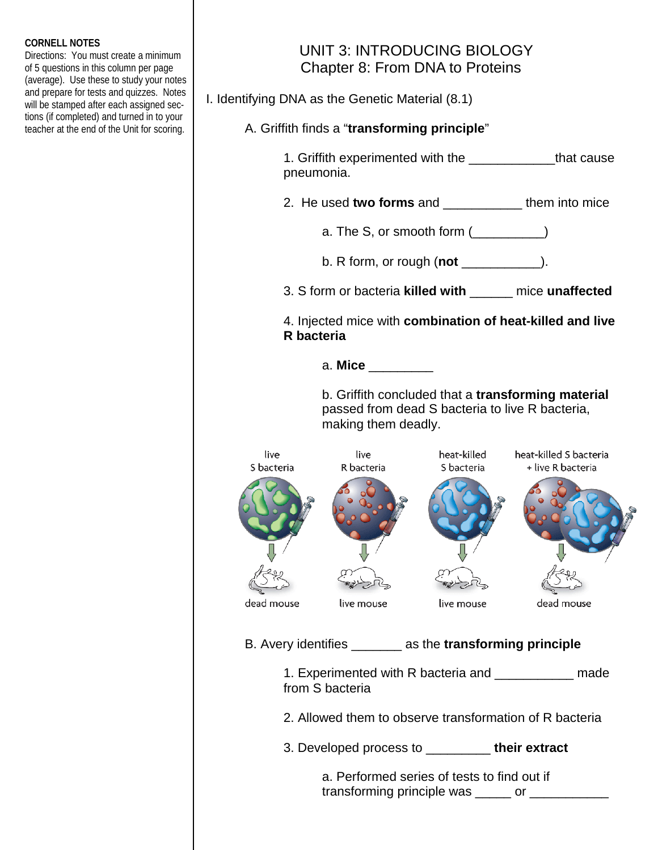## **CORNELL NOTES**

Directions: You must create a minimum of 5 questions in this column per page (average). Use these to study your notes and prepare for tests and quizzes. Notes will be stamped after each assigned sections (if completed) and turned in to your teacher at the end of the Unit for scoring.

## UNIT 3: INTRODUCING BIOLOGY Chapter 8: From DNA to Proteins

I. Identifying DNA as the Genetic Material (8.1)

- A. Griffith finds a "**transforming principle**"
	- 1. Griffith experimented with the \_\_\_\_\_\_\_\_\_\_\_\_that cause pneumonia.
	- 2. He used **two forms** and \_\_\_\_\_\_\_\_\_\_\_ them into mice
		- a. The S, or smooth form  $($
		- b. R form, or rough (**not** \_\_\_\_\_\_\_\_\_\_\_).
	- 3. S form or bacteria **killed with** \_\_\_\_\_\_ mice **unaffected**
	- 4. Injected mice with **combination of heat-killed and live R bacteria**

a. **Mice** \_\_\_\_\_\_\_\_\_

 b. Griffith concluded that a **transforming material**  passed from dead S bacteria to live R bacteria, making them deadly.



B. Avery identifies \_\_\_\_\_\_\_ as the **transforming principle**

- 1. Experimented with R bacteria and **made** from S bacteria
- 2. Allowed them to observe transformation of R bacteria
- 3. Developed process to \_\_\_\_\_\_\_\_\_ **their extract**

 a. Performed series of tests to find out if transforming principle was \_\_\_\_\_ or \_\_\_\_\_\_\_\_\_\_\_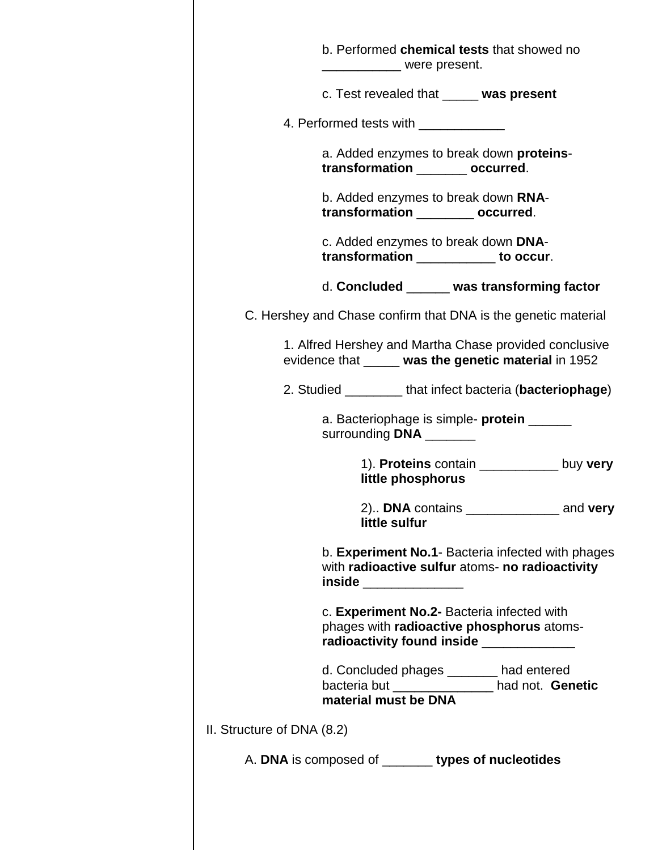|                            | b. Performed chemical tests that showed no<br>_____________ were present.                                                          |
|----------------------------|------------------------------------------------------------------------------------------------------------------------------------|
|                            | c. Test revealed that _____ was present                                                                                            |
|                            | 4. Performed tests with ______________                                                                                             |
|                            | a. Added enzymes to break down <b>proteins-</b><br>transformation _______ occurred.                                                |
|                            | b. Added enzymes to break down RNA-<br>transformation _________ occurred.                                                          |
|                            | c. Added enzymes to break down DNA-<br>transformation ___________ to occur.                                                        |
|                            | d. Concluded _____ was transforming factor                                                                                         |
|                            | C. Hershey and Chase confirm that DNA is the genetic material                                                                      |
|                            | 1. Alfred Hershey and Martha Chase provided conclusive<br>evidence that _____ was the genetic material in 1952                     |
|                            | 2. Studied _________ that infect bacteria (bacteriophage)                                                                          |
|                            | a. Bacteriophage is simple- <b>protein</b> _______<br>surrounding DNA _______                                                      |
|                            | 1). Proteins contain ____________ buy very<br>little phosphorus                                                                    |
|                            | little sulfur                                                                                                                      |
|                            | b. Experiment No.1- Bacteria infected with phages<br>with radioactive sulfur atoms- no radioactivity<br>inside ______________      |
|                            | c. Experiment No.2- Bacteria infected with<br>phages with radioactive phosphorus atoms-<br>radioactivity found inside ____________ |
|                            | d. Concluded phages _______ had entered<br>bacteria but ________________ had not. Genetic<br>material must be DNA                  |
| II. Structure of DNA (8.2) |                                                                                                                                    |
|                            | A. DNA is composed of _______ types of nucleotides                                                                                 |
|                            |                                                                                                                                    |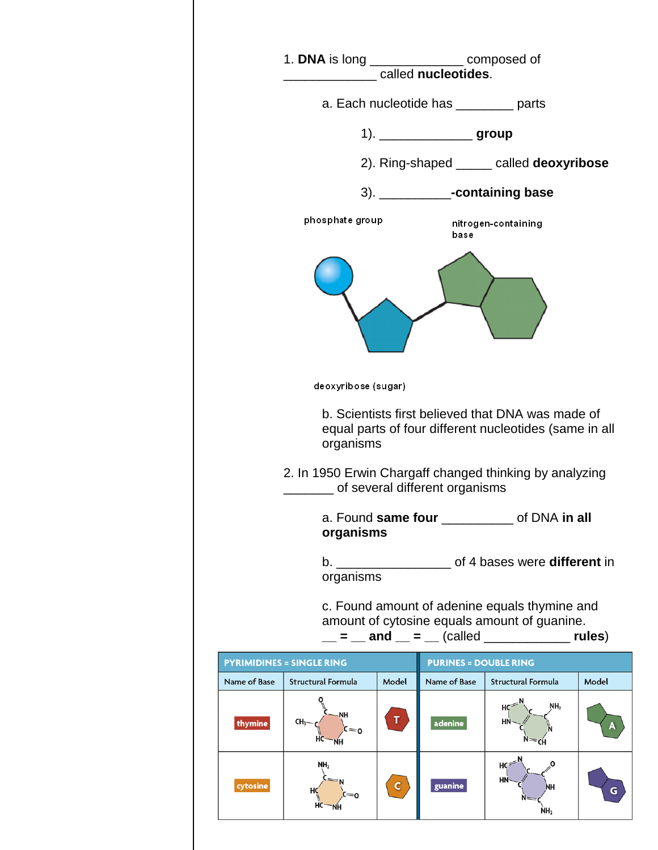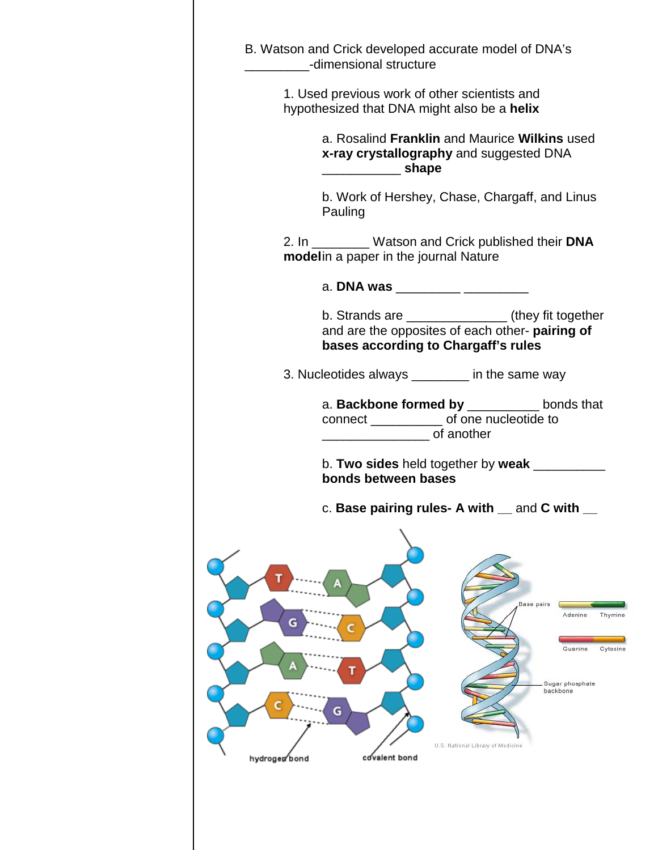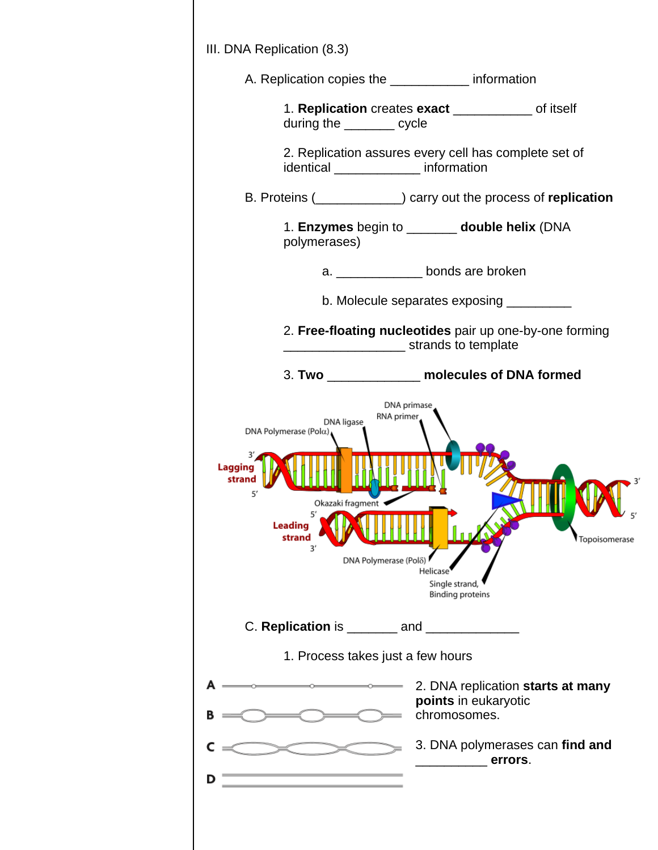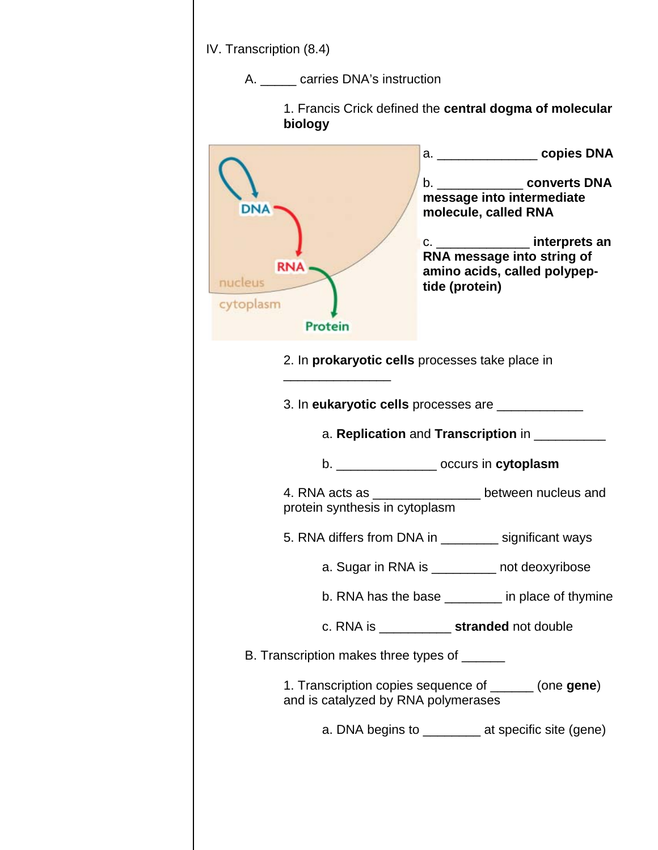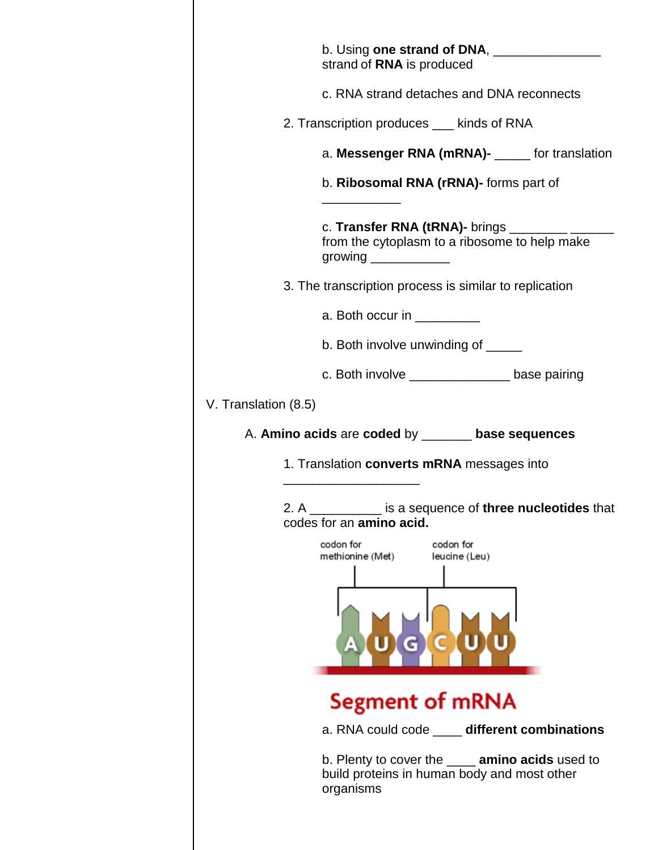| b. Using one strand of DNA, ________________<br>strand of RNA is produced                                            |
|----------------------------------------------------------------------------------------------------------------------|
| c. RNA strand detaches and DNA reconnects                                                                            |
| 2. Transcription produces ___ kinds of RNA                                                                           |
| a. Messenger RNA (mRNA)- _____ for translation                                                                       |
| b. Ribosomal RNA (rRNA)- forms part of                                                                               |
| c. Transfer RNA (tRNA)- brings __________<br>from the cytoplasm to a ribosome to help make<br>growing ______________ |
| 3. The transcription process is similar to replication                                                               |
| a. Both occur in __________                                                                                          |
| b. Both involve unwinding of _____                                                                                   |
| c. Both involve __________________ base pairing                                                                      |
| V. Translation (8.5)                                                                                                 |
| A. Amino acids are coded by ______ base sequences                                                                    |
| 1. Translation converts mRNA messages into                                                                           |
| 2. A is a sequence of three nucleotides that<br>codes for an amino acid.                                             |
| codon for<br>codon for<br>methionine (Met)<br>leucine (Leu)                                                          |
|                                                                                                                      |
| <b>Segment of mRNA</b>                                                                                               |
| a. RNA could code _____ different combinations                                                                       |
| b. Plenty to cover the ____ amino acids used to<br>build proteins in human body and most other<br>organisms          |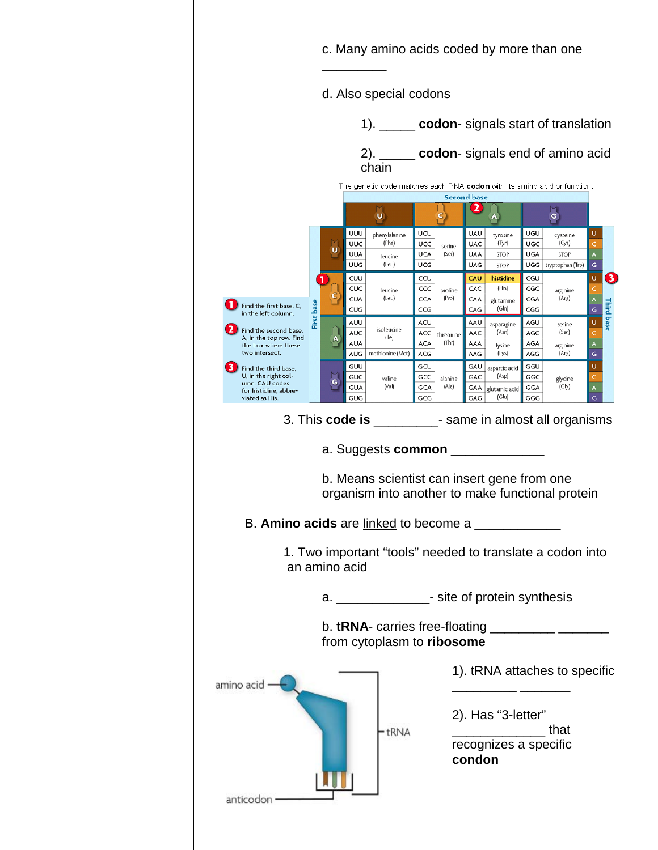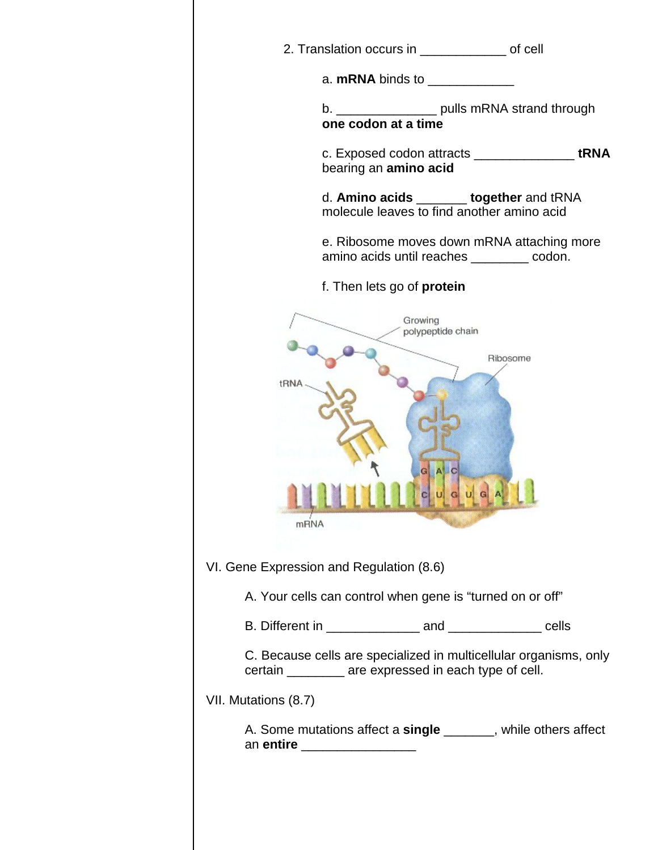|                                          |                              | a. mRNA binds to ______________                           |                                                                     |
|------------------------------------------|------------------------------|-----------------------------------------------------------|---------------------------------------------------------------------|
|                                          |                              |                                                           | b. __________________ pulls mRNA strand through one codon at a time |
|                                          |                              | bearing an amino acid                                     | c. Exposed codon attracts __________________tRNA                    |
|                                          |                              | molecule leaves to find another amino acid                | d. Amino acids _______ together and tRNA                            |
|                                          |                              | amino acids until reaches ________ codon.                 | e. Ribosome moves down mRNA attaching more                          |
|                                          |                              | f. Then lets go of <b>protein</b>                         |                                                                     |
| tRNA                                     |                              | Growing<br>polypeptide chain<br>GAC                       | Ribosome                                                            |
|                                          | <b>mRNA</b>                  | c u g u<br><u>.</u> В Е В В С В С С СТАНЕРО РОСКИ БАКА.   |                                                                     |
| VI. Gene Expression and Regulation (8.6) |                              |                                                           |                                                                     |
|                                          |                              | A. Your cells can control when gene is "turned on or off" |                                                                     |
|                                          |                              |                                                           |                                                                     |
|                                          |                              | certain __________ are expressed in each type of cell.    | C. Because cells are specialized in multicellular organisms, only   |
| VII. Mutations (8.7)                     |                              |                                                           |                                                                     |
|                                          | an entire __________________ |                                                           | A. Some mutations affect a single _______, while others affect      |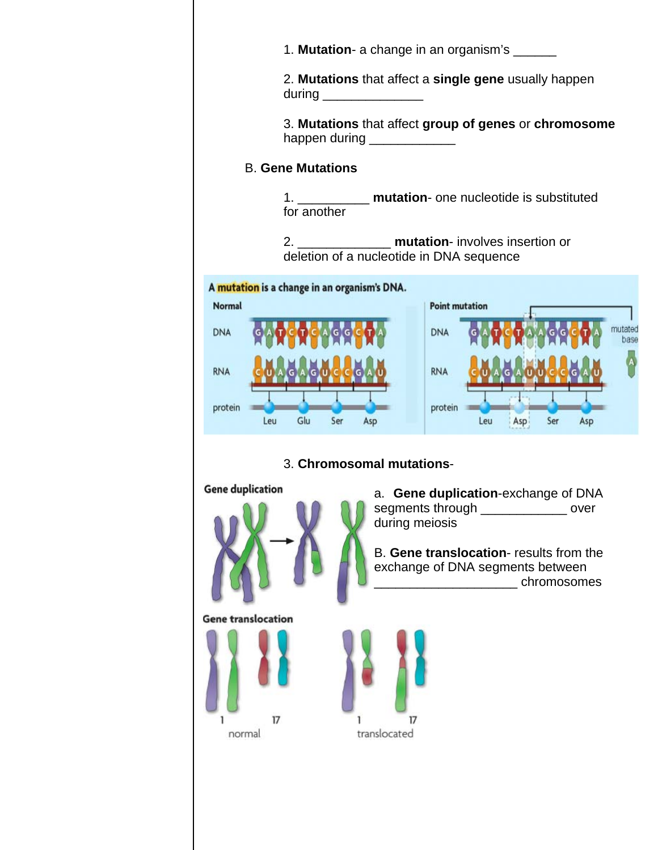